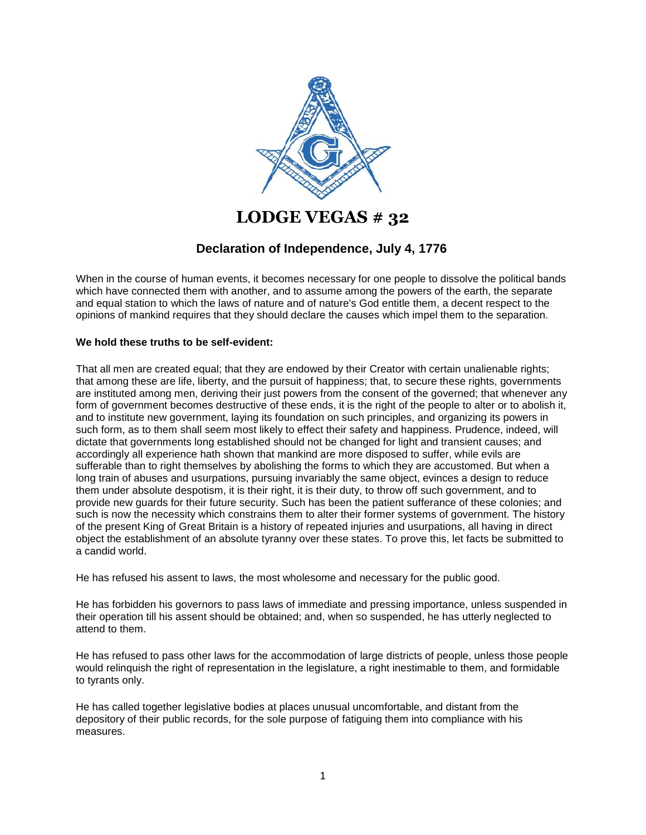

## **LODGE VEGAS # 32**

## **Declaration of Independence, July 4, 1776**

When in the course of human events, it becomes necessary for one people to dissolve the political bands which have connected them with another, and to assume among the powers of the earth, the separate and equal station to which the laws of nature and of nature's God entitle them, a decent respect to the opinions of mankind requires that they should declare the causes which impel them to the separation.

## **We hold these truths to be self-evident:**

That all men are created equal; that they are endowed by their Creator with certain unalienable rights; that among these are life, liberty, and the pursuit of happiness; that, to secure these rights, governments are instituted among men, deriving their just powers from the consent of the governed; that whenever any form of government becomes destructive of these ends, it is the right of the people to alter or to abolish it, and to institute new government, laying its foundation on such principles, and organizing its powers in such form, as to them shall seem most likely to effect their safety and happiness. Prudence, indeed, will dictate that governments long established should not be changed for light and transient causes; and accordingly all experience hath shown that mankind are more disposed to suffer, while evils are sufferable than to right themselves by abolishing the forms to which they are accustomed. But when a long train of abuses and usurpations, pursuing invariably the same object, evinces a design to reduce them under absolute despotism, it is their right, it is their duty, to throw off such government, and to provide new guards for their future security. Such has been the patient sufferance of these colonies; and such is now the necessity which constrains them to alter their former systems of government. The history of the present King of Great Britain is a history of repeated injuries and usurpations, all having in direct object the establishment of an absolute tyranny over these states. To prove this, let facts be submitted to a candid world.

He has refused his assent to laws, the most wholesome and necessary for the public good.

He has forbidden his governors to pass laws of immediate and pressing importance, unless suspended in their operation till his assent should be obtained; and, when so suspended, he has utterly neglected to attend to them.

He has refused to pass other laws for the accommodation of large districts of people, unless those people would relinquish the right of representation in the legislature, a right inestimable to them, and formidable to tyrants only.

He has called together legislative bodies at places unusual uncomfortable, and distant from the depository of their public records, for the sole purpose of fatiguing them into compliance with his measures.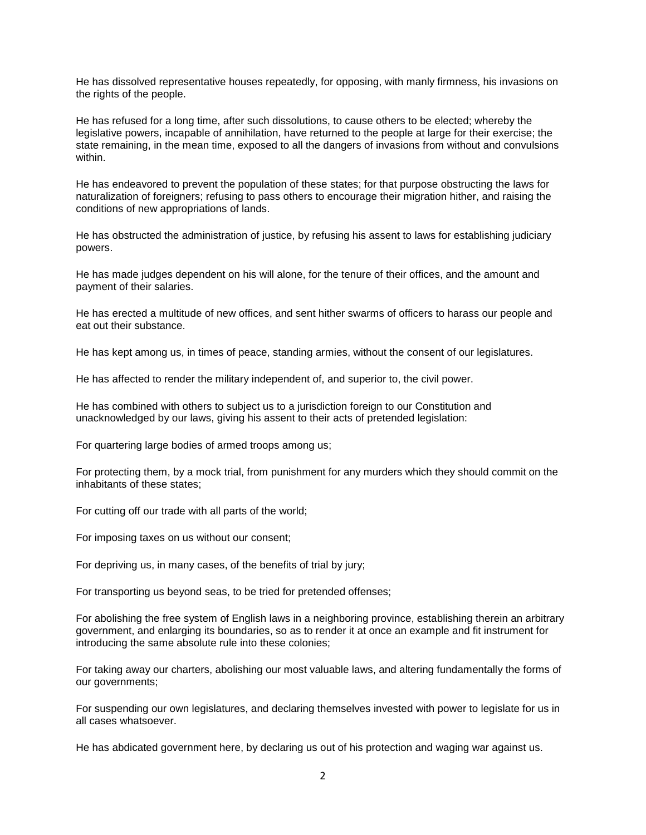He has dissolved representative houses repeatedly, for opposing, with manly firmness, his invasions on the rights of the people.

He has refused for a long time, after such dissolutions, to cause others to be elected; whereby the legislative powers, incapable of annihilation, have returned to the people at large for their exercise; the state remaining, in the mean time, exposed to all the dangers of invasions from without and convulsions within.

He has endeavored to prevent the population of these states; for that purpose obstructing the laws for naturalization of foreigners; refusing to pass others to encourage their migration hither, and raising the conditions of new appropriations of lands.

He has obstructed the administration of justice, by refusing his assent to laws for establishing judiciary powers.

He has made judges dependent on his will alone, for the tenure of their offices, and the amount and payment of their salaries.

He has erected a multitude of new offices, and sent hither swarms of officers to harass our people and eat out their substance.

He has kept among us, in times of peace, standing armies, without the consent of our legislatures.

He has affected to render the military independent of, and superior to, the civil power.

He has combined with others to subject us to a jurisdiction foreign to our Constitution and unacknowledged by our laws, giving his assent to their acts of pretended legislation:

For quartering large bodies of armed troops among us;

For protecting them, by a mock trial, from punishment for any murders which they should commit on the inhabitants of these states;

For cutting off our trade with all parts of the world;

For imposing taxes on us without our consent;

For depriving us, in many cases, of the benefits of trial by jury;

For transporting us beyond seas, to be tried for pretended offenses;

For abolishing the free system of English laws in a neighboring province, establishing therein an arbitrary government, and enlarging its boundaries, so as to render it at once an example and fit instrument for introducing the same absolute rule into these colonies;

For taking away our charters, abolishing our most valuable laws, and altering fundamentally the forms of our governments;

For suspending our own legislatures, and declaring themselves invested with power to legislate for us in all cases whatsoever.

He has abdicated government here, by declaring us out of his protection and waging war against us.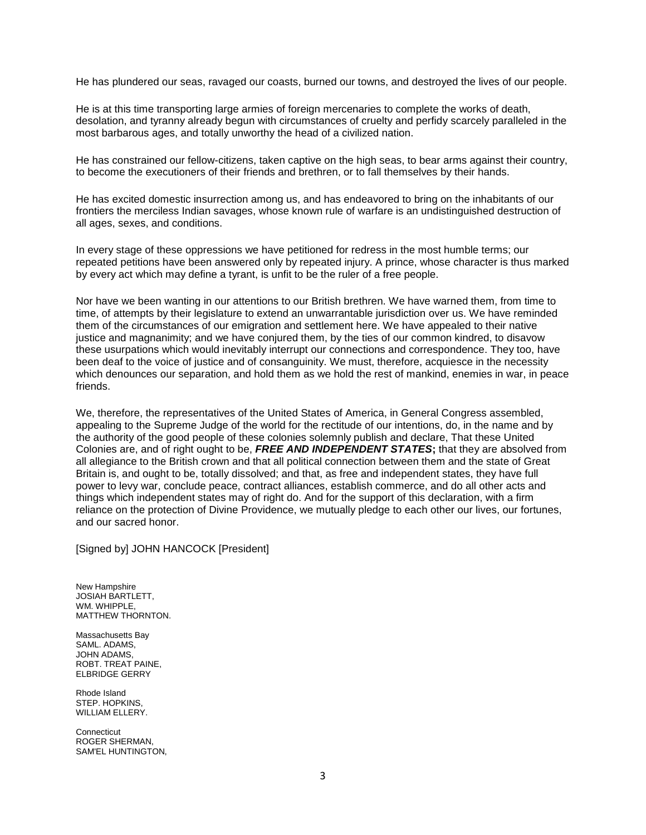He has plundered our seas, ravaged our coasts, burned our towns, and destroyed the lives of our people.

He is at this time transporting large armies of foreign mercenaries to complete the works of death, desolation, and tyranny already begun with circumstances of cruelty and perfidy scarcely paralleled in the most barbarous ages, and totally unworthy the head of a civilized nation.

He has constrained our fellow-citizens, taken captive on the high seas, to bear arms against their country, to become the executioners of their friends and brethren, or to fall themselves by their hands.

He has excited domestic insurrection among us, and has endeavored to bring on the inhabitants of our frontiers the merciless Indian savages, whose known rule of warfare is an undistinguished destruction of all ages, sexes, and conditions.

In every stage of these oppressions we have petitioned for redress in the most humble terms; our repeated petitions have been answered only by repeated injury. A prince, whose character is thus marked by every act which may define a tyrant, is unfit to be the ruler of a free people.

Nor have we been wanting in our attentions to our British brethren. We have warned them, from time to time, of attempts by their legislature to extend an unwarrantable jurisdiction over us. We have reminded them of the circumstances of our emigration and settlement here. We have appealed to their native justice and magnanimity; and we have conjured them, by the ties of our common kindred, to disavow these usurpations which would inevitably interrupt our connections and correspondence. They too, have been deaf to the voice of justice and of consanguinity. We must, therefore, acquiesce in the necessity which denounces our separation, and hold them as we hold the rest of mankind, enemies in war, in peace friends.

We, therefore, the representatives of the United States of America, in General Congress assembled, appealing to the Supreme Judge of the world for the rectitude of our intentions, do, in the name and by the authority of the good people of these colonies solemnly publish and declare, That these United Colonies are, and of right ought to be, *FREE AND INDEPENDENT STATES***;** that they are absolved from all allegiance to the British crown and that all political connection between them and the state of Great Britain is, and ought to be, totally dissolved; and that, as free and independent states, they have full power to levy war, conclude peace, contract alliances, establish commerce, and do all other acts and things which independent states may of right do. And for the support of this declaration, with a firm reliance on the protection of Divine Providence, we mutually pledge to each other our lives, our fortunes, and our sacred honor.

[Signed by] JOHN HANCOCK [President]

New Hampshire JOSIAH BARTLETT, WM. WHIPPLE, MATTHEW THORNTON.

Massachusetts Bay SAML. ADAMS, JOHN ADAMS, ROBT. TREAT PAINE, ELBRIDGE GERRY

Rhode Island STEP. HOPKINS, WILLIAM ELLERY.

**Connecticut** ROGER SHERMAN, SAM'EL HUNTINGTON,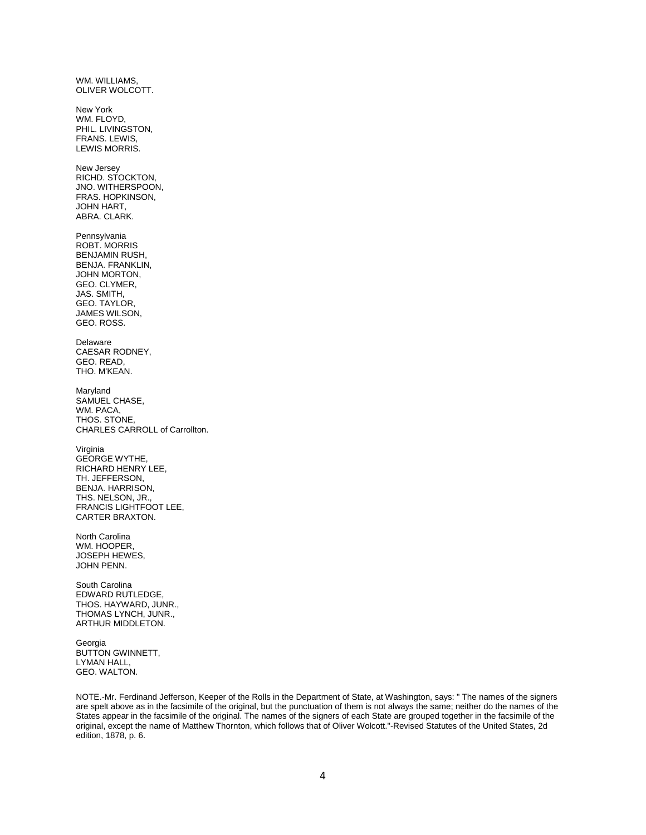WM. WILLIAMS, OLIVER WOLCOTT. New York WM. FLOYD, PHIL. LIVINGSTON, FRANS. LEWIS, LEWIS MORRIS. New Jersey RICHD. STOCKTON, JNO. WITHERSPOON, FRAS. HOPKINSON, JOHN HART, ABRA. CLARK. Pennsylvania ROBT. MORRIS BENJAMIN RUSH, BENJA. FRANKLIN, JOHN MORTON, GEO. CLYMER, JAS. SMITH, GEO. TAYLOR, JAMES WILSON, GEO. ROSS. Delaware CAESAR RODNEY, GEO. READ, THO. M'KEAN. Maryland SAMUEL CHASE, WM. PACA, THOS. STONE, CHARLES CARROLL of Carrollton. Virginia GEORGE WYTHE, RICHARD HENRY LEE, TH. JEFFERSON, BENJA. HARRISON, THS. NELSON, JR., FRANCIS LIGHTFOOT LEE, CARTER BRAXTON. North Carolina WM. HOOPER, JOSEPH HEWES, JOHN PENN. South Carolina EDWARD RUTLEDGE, THOS. HAYWARD, JUNR., THOMAS LYNCH, JUNR., ARTHUR MIDDLETON. Georgia BUTTON GWINNETT,

LYMAN HALL, GEO. WALTON.

NOTE.-Mr. Ferdinand Jefferson, Keeper of the Rolls in the Department of State, at Washington, says: " The names of the signers are spelt above as in the facsimile of the original, but the punctuation of them is not always the same; neither do the names of the States appear in the facsimile of the original. The names of the signers of each State are grouped together in the facsimile of the original, except the name of Matthew Thornton, which follows that of Oliver Wolcott."-Revised Statutes of the United States, 2d edition, 1878, p. 6.